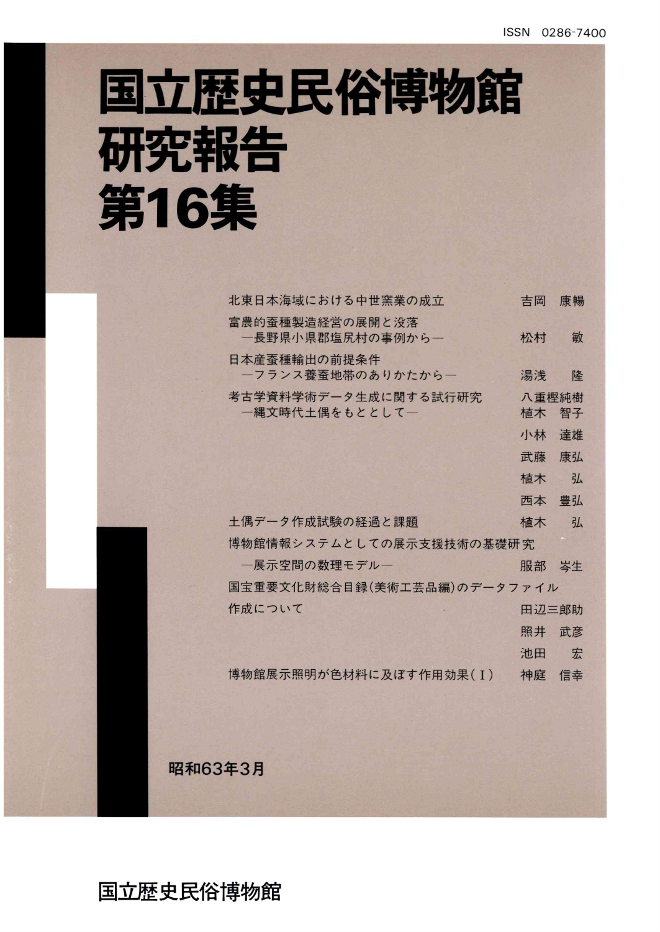4

# 国立歴史民俗博物館 研究報告 第16集

| 北東日本海域における中世窯業の成立                      | 吉岡          | 康暢 |
|----------------------------------------|-------------|----|
| 富農的蚕種製造経営の展開と没落<br>-長野県小県郡塩尻村の事例から―    | 松村          | 敏  |
| 日本産蚕種輸出の前提条件<br>一フランス養蚕地帯のありかたから一      | 湯浅          | 隆  |
| 考古学資料学術データ生成に関する試行研究<br>一縄文時代土偶をもととして一 | 八重樫純樹<br>植木 | 智子 |
|                                        | 小林          | 達雄 |
|                                        | 武藤          | 康弘 |
|                                        | 植木          | 弘  |
|                                        | 西本          | 豊弘 |
| 土偶データ作成試験の経過と課題                        | 植木          | 弘  |
| 博物館情報システムとしての展示支援技術の基礎研究               |             |    |
| 一展示空間の数理モデルー                           | 服部          | 岑生 |
| 国宝重要文化財総合目録(美術工芸品編)のデータファイル            |             |    |
| 作成について                                 | 田辺三郎助       |    |
|                                        | 照井          | 武彦 |
|                                        | 池田          | 宏  |
| 博物館展示照明が色材料に及ぼす作用効果(I)                 | 神庭          | 信幸 |
|                                        |             |    |
|                                        |             |    |
| 昭和63年3月                                |             |    |

国立歴史民俗博物館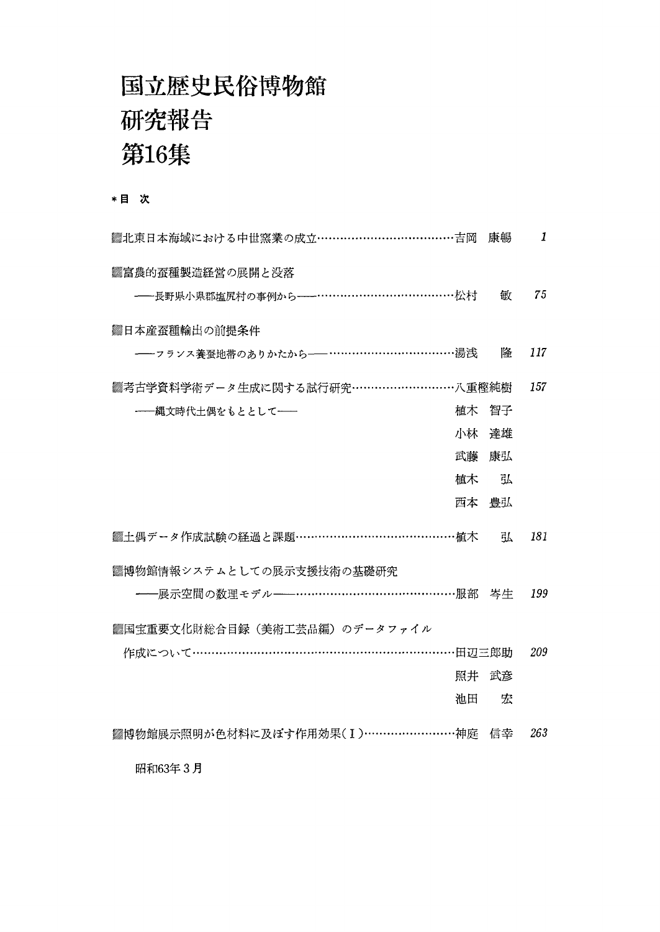### 国立歴史民俗博物館 研究報告 第16集

\*目 次

| ▓北東日本海域における中世窯業の成立………………………………吉岡            | 康暢    | 1   |
|---------------------------------------------|-------|-----|
| ▓富農的蚕種製造経営の展開と没落                            |       |     |
| ----長野県小県郡塩尻村の事例から-----………………………………松村       | 敏     | 75  |
| ▓日本産蚕種輸出の前提条件                               |       |     |
|                                             | 降     | 117 |
| ▓考古学資料学術データ生成に関する試行研究………………………八重樫純樹         |       | 157 |
| ----縄文時代十偶をもととして-----                       | 植木 智子 |     |
|                                             | 小林 達雄 |     |
|                                             | 武藤康弘  |     |
| 植木                                          | ᄘ     |     |
|                                             |       |     |
| ▓土偶データ作成試験の経過と課題……………………………………植木            | 弘     | 181 |
| ▓博物館情報システムとしての展示支援技術の基礎研究                   |       |     |
|                                             |       | 199 |
| ▒国宝重要文化財総合目録(美術工芸品編)のデータファイル                |       |     |
| 作成について…………………………………………………………田辺三郎助           |       | 209 |
|                                             | 照井 武彦 |     |
| 池田                                          | 宍     |     |
| <b>▓博物館展示照明が色材料に及ぼす作用効果(Ⅰ)……………………神庭</b> 信幸 |       | 263 |

昭和63年3月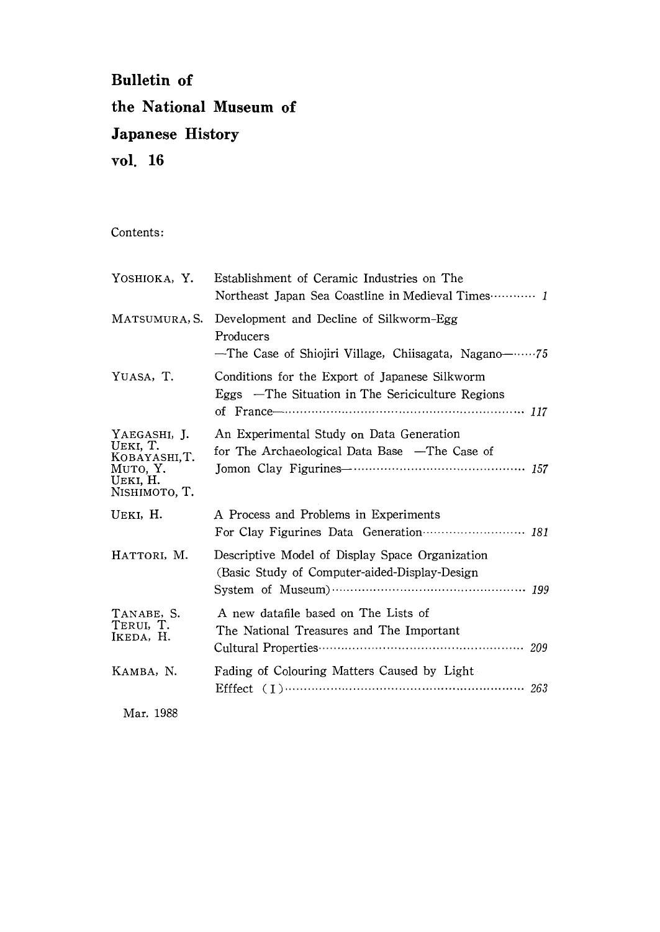#### Bulletin of the National Museum of Japanese History vo1.16

Contents:

| YOSHIOKA, Y.                                                                       | Establishment of Ceramic Industries on The                                                                                                |
|------------------------------------------------------------------------------------|-------------------------------------------------------------------------------------------------------------------------------------------|
| MATSUMURA, S.                                                                      | Development and Decline of Silkworm-Egg<br>Producers<br>— The Case of Shiojiri Village, Chiisagata, Nagano— $\cdots$ 75                   |
| YUASA, T.                                                                          | Conditions for the Export of Japanese Silkworm<br>Eggs — The Situation in The Sericiculture Regions<br>of France— $\cdots$ and $117$      |
| YAEGASHI, J.<br>UEKI, T.<br>KOBAYASHI, T.<br>MUTO, Y.<br>UEKI, H.<br>Nishimoto, T. | An Experimental Study on Data Generation<br>for The Archaeological Data Base — The Case of<br>Jomon Clay Figurines-communications and 157 |
| UEKI, H.                                                                           | A Process and Problems in Experiments<br>For Clay Figurines Data Generation  181                                                          |
| HATTORI, M.                                                                        | Descriptive Model of Display Space Organization<br>(Basic Study of Computer-aided-Display-Design                                          |
| TANABE, S.<br>TERUI, T.<br>IKEDA, H.                                               | A new datafile based on The Lists of<br>The National Treasures and The Important                                                          |
| KAMBA, N.                                                                          | Fading of Colouring Matters Caused by Light                                                                                               |

Mar,1988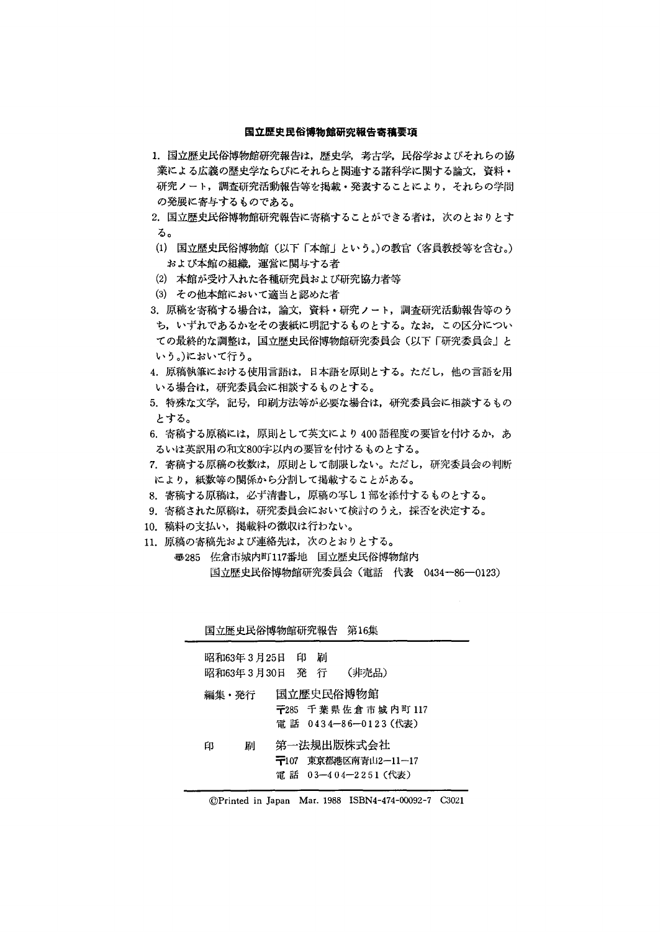#### 国立歴史民俗博物館研究報告寄稿要項

- 1.国立歴史民俗博物館研究報告は,歴史学,考古学,民俗学およびそれらの協 業による広義の歴史学ならびにそれらと関連する諸科学に関する論文,資料・ 研究ノート,調査研究活動報告等を掲載・発表することにより,それらの学問 の発展に寄与するものである。
- 2. 国立歴史民俗博物館研究報告に寄稿することができる者は、次のとおりとす る。
- (1)国立歴史民俗博物館(以下「本館」という。)の教官(客員教授等を含む。) および本館の組織、運営に関与する者
- (2)本館が受け入れた各種研究員および研究協力者等
- (3)その他本館において適当と認めた者
- 3. 原稿を寄稿する場合は、論文,資料・研究ノート,調査研究活動報告等のう ち,いずれであるかをその表紙に明記するものとする。なお,この区分につい ての最終的な調整は,国立歴史民俗博物館研究委員会(以下「研究委員会」と いう。)において行う。
- 4,原稿執筆における使用言語は,日本語を原則とする。ただし,他の言語を用 いる場合は,研究委員会に相談するものとする。
- 5.特殊な文学,記号,印刷方法等が必要な場合は,研究委員会に相談するもの とする。
- 6. 寄稿する原稿には、原則として英文により400語程度の要旨を付けるか,あ るいは英訳用の和文800字以内の要旨を付けるものとする。
- 7.寄稿する原稿の枚数は,原則として制限しない。ただし,研究委員会の判断 により,紙数等の関係から分割して掲載することがある。
- 8.寄稿する原稿は,必ず清書し,原稿の写し1部を添付するものとする。
- 9.寄稿された原稿は,研究委員会において検討のうえ,採否を決定する。
- 10.稿料の支払い,掲載料の徴収は行わない。
- 11.原稿の寄稿先および連絡先は,次のとおりとする。
	- ㊦285 佐倉市城内町117番地 国立歴史民俗博物館内 国立歴史民俗博物館研究委員会(電話 代表 0434-86-0123)

|       |                                  |               | 国立歴史民俗博物館研究報告 第16集                                         |  |
|-------|----------------------------------|---------------|------------------------------------------------------------|--|
|       | 昭和63年 3 月25日 -<br>昭和63年 3 月30日 - | 印<br>剧<br>発 行 | (非売品)                                                      |  |
| 編集・発行 |                                  |               | 国立歴史民俗博物館                                                  |  |
|       |                                  |               | 〒285 千葉県佐倉市城内町117<br>電話 0434-86-0123 (代表)                  |  |
| 印     | 刷                                |               | 第一法規出版株式会社<br>〒107 東京都港区南青山2-11-17<br>電 話 03-404-2251 (代表) |  |

©Printed in Japan Mar. 1988 ISBN4-474-00092-7 C3021